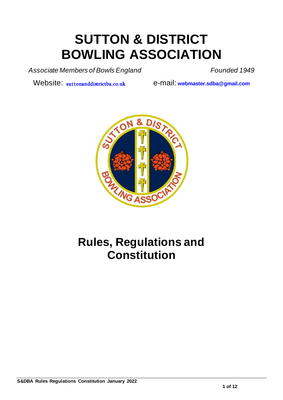# **SUTTON & DISTRICT BOWLING ASSOCIATION**

Associate Members of Bowls England Founded 1949

Website: <suttonanddistrictba.co.uk> e-mail: webmaster.sdba@gmail.com



## **Rules, Regulations and Constitution**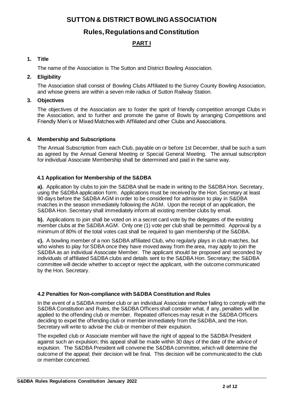**SUTTON & DISTRICT BOWLING ASSOCIATION**

## **Rules, Regulations and Constitution**

## **PART I**

## **1. Title**

The name of the Association is The Sutton and District Bowling Association.

## **2. Eligibility**

The Association shall consist of Bowling Clubs Affiliated to the Surrey County Bowling Association, and whose greens are within a seven mile radius of Sutton Railway Station.

#### **3. Objectives**

The objectives of the Association are to foster the spirit of friendly competition amongst Clubs in the Association, and to further and promote the game of Bowls by arranging Competitions and Friendly Men's or Mixed Matches with Affiliated and other Clubs and Associations.

## **4. Membership and Subscriptions**

The Annual Subscription from each Club, payable on or before 1st December, shall be such a sum as agreed by the Annual General Meeting or Special General Meeting. The annual subscription for individual Associate Membership shall be determined and paid in the same way.

## **4.1 Application for Membership of the S&DBA**

**a).** Application by clubs to join the S&DBA shall be made in writing to the S&DBA Hon. Secretary, using the S&DBA application form. Applications must be received by the Hon. Secretary at least 90 days before the S&DBA AGM in order to be considered for admission to play in S&DBA matches in the season immediately following the AGM. Upon the receipt of an application, the S&DBA Hon. Secretary shall immediately inform all existing member clubs by email.

**b).** Applications to join shall be voted on in a secret card vote by the delegates of the existing member clubs at the S&DBA AGM. Only one (1) vote per club shall be permitted. Approval by a minimum of 80% of the total votes cast shall be required to gain membership of the S&DBA.

**c).** A bowling member of a non S&DBA affiliated Club, who regularly plays in club matches, but who wishes to play for SDBA once they have moved away from the area, may apply to join the S&DBA as an individual Associate Member. The applicant should be proposed and seconded by individuals of affiliated S&DBA clubs and details sent to the S&DBA Hon. Secretary; the S&DBA committee will decide whether to accept or reject the applicant, with the outcome communicated by the Hon. Secretary.

#### **4.2 Penalties for Non-compliance with S&DBA Constitution and Rules**

In the event of a S&DBA member club or an individual Associate member failing to comply with the S&DBA Constitution and Rules, the S&DBA Officers shall consider what, if any, penalties will be applied to the offending club or member. Repeated offences may result in the S&DBA Officers deciding to expel the offending club or member immediately from the S&DBA, and the Hon. Secretary will write to advise the club or member of their expulsion.

The expelled club or Associate member will have the right of appeal to the S&DBA President against such an expulsion; this appeal shall be made within 30 days of the date of the advice of expulsion. The S&DBA President will convene the S&DBA committee, which will determine the outcome of the appeal; their decision will be final. This decision will be communicated to the club or member concerned.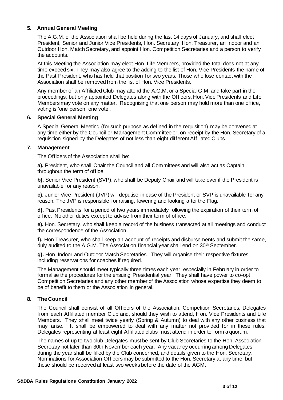#### **5. Annual General Meeting**

The A.G.M. of the Association shall be held during the last 14 days of January, and shall elect President, Senior and Junior Vice Presidents, Hon. Secretary, Hon. Treasurer, an Indoor and an Outdoor Hon. Match Secretary, and appoint Hon. Competition Secretaries and a person to verify the accounts.

At this Meeting the Association may elect Hon. Life Members, provided the total does not at any time exceed six. They may also agree to the adding to the list of Hon. Vice Presidents the name of the Past President, who has held that position for two years. Those who lose contact with the Association shall be removed from the list of Hon. Vice Presidents.

Any member of an Affiliated Club may attend the A.G.M. or a Special G.M. and take part in the proceedings, but only appointed Delegates along with the Officers, Hon. Vice Presidents and Life Members may vote on any matter. Recognising that one person may hold more than one office, voting is 'one person, one vote'.

#### **6. Special General Meeting**

A Special General Meeting (for such purpose as defined in the requisition) may be convened at any time either by the Council or Management Committee or, on receipt by the Hon. Secretary of a requisition signed by the Delegates of not less than eight different Affiliated Clubs.

#### **7. Management**

The Officers of the Association shall be:

**a).** President, who shall Chair the Council and all Committees and will also act as Captain throughout the term of office.

**b).** Senior Vice President (SVP), who shall be Deputy Chair and will take over if the President is unavailable for any reason.

**c).** Junior Vice President (JVP) will deputise in case of the President or SVP is unavailable for any reason. The JVP is responsible for raising, lowering and looking after the Flag.

**d).** Past Presidents for a period of two years immediately following the expiration of their term of office. No other duties except to advise from their term of office.

**e).** Hon. Secretary, who shall keep a record of the business transacted at all meetings and conduct the correspondence of the Association.

**f).** Hon.Treasurer, who shall keep an account of receipts and disbursements and submit the same, duly audited to the A.G.M. The Association financial year shall end on 30<sup>th</sup> September.

**g).** Hon. Indoor and Outdoor Match Secretaries. They will organise their respective fixtures, including reservations for coaches if required.

The Management should meet typically three times each year, especially in February in order to formalise the procedures for the ensuing Presidential year. They shall have power to co-opt Competition Secretaries and any other member of the Association whose expertise they deem to be of benefit to them or the Association in general.

#### **8. The Council**

The Council shall consist of all Officers of the Association, Competition Secretaries, Delegates from each Affiliated member Club and, should they wish to attend, Hon. Vice Presidents and Life Members. They shall meet twice yearly (Spring & Autumn) to deal with any other business that may arise. It shall be empowered to deal with any matter not provided for in these rules. Delegates representing at least eight Affiliated clubs must attend in order to form a quorum.

The names of up to two club Delegates must be sent by Club Secretaries to the Hon. Association Secretary not later than 30th November each year. Any vacancy occurring among Delegates during the year shall be filled by the Club concerned, and details given to the Hon. Secretary. Nominations for Association Officers may be submitted to the Hon. Secretary at any time, but these should be received at least two weeks before the date of the AGM.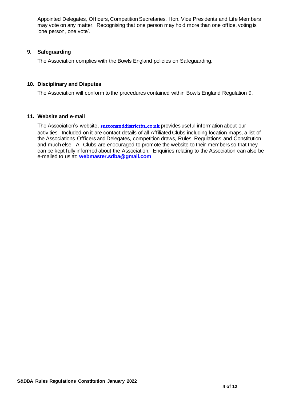Appointed Delegates, Officers, Competition Secretaries, Hon. Vice Presidents and Life Members may vote on any matter. Recognising that one person may hold more than one office, voting is 'one person, one vote'.

## **9**. **Safeguarding**

The Association complies with the Bowls England policies on Safeguarding.

## **10. Disciplinary and Disputes**

The Association will conform to the procedures contained within Bowls England Regulation 9.

#### **11. Website and e-mail**

The Association's website, **<suttonanddistrictba.co.uk>** provides useful information about our activities. Included on it are contact details of all Affiliated Clubs including location maps, a list of the Associations Officers and Delegates, competition draws, Rules, Regulations and Constitution and much else. All Clubs are encouraged to promote the website to their members so that they can be kept fully informed about the Association. Enquiries relating to the Association can also be e-mailed to us at: **webmaster.sdba@gmail.com**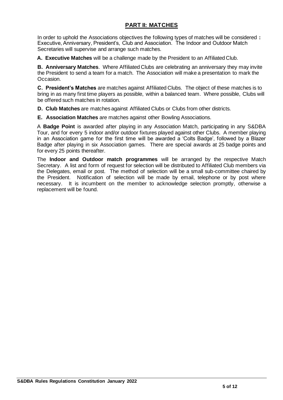## **PART II: MATCHES**

In order to uphold the Associations objectives the following types of matches will be considered **:** Executive, Anniversary, President's, Club and Association. The Indoor and Outdoor Match Secretaries will supervise and arrange such matches.

**A. Executive Matches** will be a challenge made by the President to an Affiliated Club.

**B. Anniversary Matches**. Where Affiliated Clubs are celebrating an anniversary they may invite the President to send a team for a match. The Association will make a presentation to mark the Occasion.

**C. President's Matches** are matches against Affiliated Clubs. The object of these matches is to bring in as many first time players as possible, within a balanced team. Where possible, Clubs will be offered such matches in rotation.

**D. Club Matches** are matches against Affiliated Clubs or Clubs from other districts.

**E. Association Matches** are matches against other Bowling Associations.

A **Badge Point** is awarded after playing in any Association Match, participating in any S&DBA Tour, and for every 5 indoor and/or outdoor fixtures played against other Clubs. A member playing in an Association game for the first time will be awarded a 'Colts Badge', followed by a Blazer Badge after playing in six Association games. There are special awards at 25 badge points and for every 25 points thereafter.

The **Indoor and Outdoor match programmes** will be arranged by the respective Match Secretary. A list and form of request for selection will be distributed to Affiliated Club members via the Delegates, email or post. The method of selection will be a small sub-committee chaired by the President. Notification of selection will be made by email, telephone or by post where necessary. It is incumbent on the member to acknowledge selection promptly, otherwise a replacement will be found.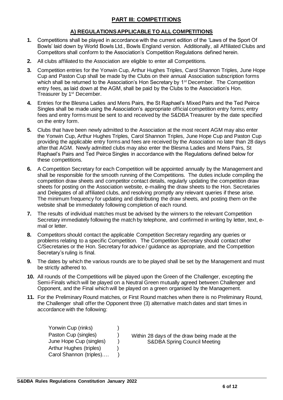## **PART III: COMPETITIONS**

## **A) REGULATIONS APPLICABLE TO ALL COMPETITIONS**

- **1.** Competitions shall be played in accordance with the current edition of the 'Laws of the Sport Of Bowls' laid down by World Bowls Ltd., Bowls England version. Additionally, all Affiliated Clubs and Competitors shall conform to the Association's Competition Regulations defined herein.
- **2.** All clubs affiliated to the Association are eligible to enter all Competitions.
- **3.** Competition entries for the Yonwin Cup, Arthur Hughes Triples, Carol Shannon Triples, June Hope Cup and Paston Cup shall be made by the Clubs on their annual Association subscription forms which shall be returned to the Association's Hon Secretary by 1<sup>st</sup> December. The Competition entry fees, as laid down at the AGM, shall be paid by the Clubs to the Association's Hon. Treasurer by 1<sup>st</sup> December.
- **4.** Entries for the Blesma Ladies and Mens Pairs, the St Raphael's Mixed Pairs and the Ted Peirce Singles shall be made using the Association's appropriate official competition entry forms; entry fees and entry forms must be sent to and received by the S&DBA Treasurer by the date specified on the entry form.
- **5.** Clubs that have been newly admitted to the Association at the most recent AGM may also enter the Yonwin Cup, Arthur Hughes Triples, Carol Shannon Triples, June Hope Cup and Paston Cup providing the applicable entry forms and fees are received by the Association no later than 28 days after that AGM. Newly admitted clubs may also enter the Blesma Ladies and Mens Pairs, St Raphael's Pairs and Ted Peirce Singles in accordance with the Regulations defined below for these competitions.
- **6.** A Competition Secretary for each Competition will be appointed annually by the Management and shall be responsible for the smooth running of the Competitions. The duties include compiling the competition draw sheets and competitor contact details, regularly updating the competition draw sheets for posting on the Association website, e-mailing the draw sheets to the Hon. Secretaries and Delegates of all affiliated clubs, and resolving promptly any relevant queries if these arise. The minimum frequency for updating and distributing the draw sheets, and posting them on the website shall be immediately following completion of each round.
- **7.** The results of individual matches must be advised by the winners to the relevant Competition Secretary immediately following the match by telephone, and confirmed in writing by letter, text, email or letter.
- **8.** Competitors should contact the applicable Competition Secretary regarding any queries or problems relating to a specific Competition. The Competition Secretary should contact other C/Secretaries or the Hon. Secretary for advice / guidance as appropriate, and the Competition Secretary's ruling is final.
- **9.** The dates by which the various rounds are to be played shall be set by the Management and must be strictly adhered to.
- **10.** All rounds of the Competitions will be played upon the Green of the Challenger, excepting the Semi-Finals which will be played on a Neutral Green mutually agreed between Challenger and Opponent, and the Final which will be played on a green organised by the Management.
- **11.** For the Preliminary Round matches, or First Round matches when there is no Preliminary Round, the Challenger shall offer the Opponent three (3) alternative match dates and start times in accordance with the following:

| Yonwin Cup (rinks)             |  |                                                                                         |
|--------------------------------|--|-----------------------------------------------------------------------------------------|
| Paston Cup (singles)           |  | Within 28 days of the draw being made at the<br><b>S&amp;DBA Spring Council Meeting</b> |
| June Hope Cup (singles)        |  |                                                                                         |
| <b>Arthur Hughes (triples)</b> |  |                                                                                         |
| Carol Shannon (triples)        |  |                                                                                         |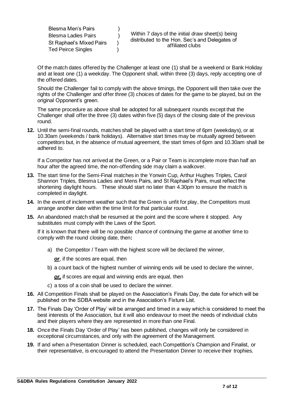| Blesma Men's Pairs         |  |                                                                                                                        |
|----------------------------|--|------------------------------------------------------------------------------------------------------------------------|
| <b>Blesma Ladies Pairs</b> |  | Within 7 days of the initial draw sheet(s) being<br>distributed to the Hon. Sec's and Delegates of<br>affiliated clubs |
| St Raphael's Mixed Pairs   |  |                                                                                                                        |
| <b>Ted Peirce Singles</b>  |  |                                                                                                                        |

Of the match dates offered by the Challenger at least one (1) shall be a weekend or Bank Holiday and at least one (1) a weekday. The Opponent shall, within three (3) days, reply accepting one of the offered dates.

Should the Challenger fail to comply with the above timings, the Opponent will then take over the rights of the Challenger and offer three (3) choices of dates for the game to be played, but on the original Opponent's green.

The same procedure as above shall be adopted for all subsequent rounds except that the Challenger shall offer the three (3) dates within five (5) days of the closing date of the previous round.

**12.** Until the semi-final rounds, matches shall be played with a start time of 6pm (weekdays), or at 10.30am (weekends / bank holidays). Alternative start times may be mutually agreed between competitors but, in the absence of mutual agreement, the start times of 6pm and 10.30am shall be adhered to.

If a Competitor has not arrived at the Green, or a Pair or Team is incomplete more than half an hour after the agreed time, the non-offending side may claim a walkover.

- **13.** The start time for the Semi-Final matches in the Yonwin Cup, Arthur Hughes Triples, Carol Shannon Triples, Blesma Ladies and Mens Pairs, and St Raphael's Pairs, must reflect the shortening daylight hours. These should start no later than 4.30pm to ensure the match is completed in daylight.
- **14.** In the event of inclement weather such that the Green is unfit for play, the Competitors must arrange another date within the time limit for that particular round.
- **15.** An abandoned match shall be resumed at the point and the score where it stopped. Any substitutes must comply with the Laws of the Sport.

If it is known that there will be no possible chance of continuing the game at another time to comply with the round closing date, then**:**

a) the Competitor / Team with the highest score will be declared the winner,

**or**, if the scores are equal, then

b) a count back of the highest number of winning ends will be used to declare the winner,

*or,* if scores are equal and winning ends are equal, then

- c) a toss of a coin shall be used to declare the winner.
- **16.** All Competition Finals shall be played on the Association's Finals Day, the date for which will be published on the SDBA website and in the Association's Fixture List.
- **17.** The Finals Day 'Order of Play' will be arranged and timed in a way which is considered to meet the best interests of the Association, but it will also endeavour to meet the needs of individual clubs and their players where they are represented in more than one Final.
- **18.** Once the Finals Day 'Order of Play' has been published, changes will only be considered in exceptional circumstances, and only with the agreement of the Management.
- **19.** If and when a Presentation Dinner is scheduled, each Competition's Champion and Finalist, or their representative, is encouraged to attend the Presentation Dinner to receive their trophies.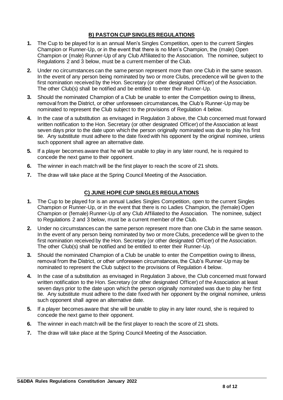## **B) PASTON CUP SINGLES REGULATIONS**

- **1.** The Cup to be played for is an annual Men's Singles Competition, open to the current Singles Champion or Runner-Up, or in the event that there is no Men's Champion, the (male) Open Champion or (male) Runner-Up of any Club Affiliated to the Association. The nominee, subject to Regulations 2 and 3 below, must be a current member of the Club.
- **2.** Under no circumstances can the same person represent more than one Club in the same season. In the event of any person being nominated by two or more Clubs, precedence will be given to the first nomination received by the Hon. Secretary (or other designated Officer) of the Association. The other Club(s) shall be notified and be entitled to enter their Runner-Up.
- **3.** Should the nominated Champion of a Club be unable to enter the Competition owing to illness, removal from the District, or other unforeseen circumstances, the Club's Runner-Up may be nominated to represent the Club subject to the provisions of Regulation 4 below.
- **4.** In the case of a substitution as envisaged in Regulation 3 above, the Club concerned must forward written notification to the Hon. Secretary (or other designated Officer) of the Association at least seven days prior to the date upon which the person originally nominated was due to play his first tie. Any substitute must adhere to the date fixed with his opponent by the original nominee, unless such opponent shall agree an alternative date.
- **5.** If a player becomes aware that he will be unable to play in any later round, he is required to concede the next game to their opponent.
- **6.** The winner in each match will be the first player to reach the score of 21 shots.
- **7.** The draw will take place at the Spring Council Meeting of the Association.

## **C) JUNE HOPE CUP SINGLES REGULATIONS**

- **1.** The Cup to be played for is an annual Ladies Singles Competition, open to the current Singles Champion or Runner-Up, or in the event that there is no Ladies Champion, the (female) Open Champion or (female) Runner-Up of any Club Affiliated to the Association. The nominee, subject to Regulations 2 and 3 below, must be a current member of the Club.
- **2.** Under no circumstances can the same person represent more than one Club in the same season. In the event of any person being nominated by two or more Clubs, precedence will be given to the first nomination received by the Hon. Secretary (or other designated Officer) of the Association. The other Club(s) shall be notified and be entitled to enter their Runner-Up.
- **3.** Should the nominated Champion of a Club be unable to enter the Competition owing to illness, removal from the District, or other unforeseen circumstances, the Club's Runner-Up may be nominated to represent the Club subject to the provisions of Regulation 4 below.
- **4.** In the case of a substitution as envisaged in Regulation 3 above, the Club concerned must forward written notification to the Hon. Secretary (or other designated Officer) of the Association at least seven days prior to the date upon which the person originally nominated was due to play her first tie. Any substitute must adhere to the date fixed with her opponent by the original nominee, unless such opponent shall agree an alternative date.
- **5.** If a player becomes aware that she will be unable to play in any later round, she is required to concede the next game to their opponent.
- **6.** The winner in each match will be the first player to reach the score of 21 shots.
- **7.** The draw will take place at the Spring Council Meeting of the Association.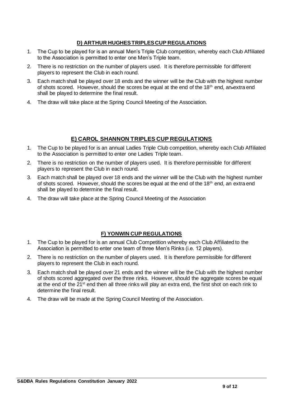## **D) ARTHUR HUGHES TRIPLES CUP REGULATIONS**

- 1. The Cup to be played for is an annual Men's Triple Club competition, whereby each Club Affiliated to the Association is permitted to enter one Men's Triple team.
- 2. There is no restriction on the number of players used. It is therefore permissible for different players to represent the Club in each round.
- 3. Each match shall be played over 18 ends and the winner will be the Club with the highest number of shots scored. However, should the scores be equal at the end of the 18<sup>th</sup> end, an extra end shall be played to determine the final result.
- 4. The draw will take place at the Spring Council Meeting of the Association.

## **E) CAROL SHANNON TRIPLES CUP REGULATIONS**

- 1. The Cup to be played for is an annual Ladies Triple Club competition, whereby each Club Affiliated to the Association is permitted to enter one Ladies Triple team.
- 2. There is no restriction on the number of players used. It is therefore permissible for different players to represent the Club in each round.
- 3. Each match shall be played over 18 ends and the winner will be the Club with the highest number of shots scored. However, should the scores be equal at the end of the 18<sup>th</sup> end, an extra end shall be played to determine the final result.
- 4. The draw will take place at the Spring Council Meeting of the Association

## **F) YONWIN CUP REGULATIONS**

- 1. The Cup to be played for is an annual Club Competition whereby each Club Affiliated to the Association is permitted to enter one team of three Men's Rinks (i.e. 12 players).
- 2. There is no restriction on the number of players used. It is therefore permissible for different players to represent the Club in each round.
- 3. Each match shall be played over 21 ends and the winner will be the Club with the highest number of shots scored aggregated over the three rinks. However, should the aggregate scores be equal at the end of the 21<sup>st</sup> end then all three rinks will play an extra end, the first shot on each rink to determine the final result.
- 4. The draw will be made at the Spring Council Meeting of the Association.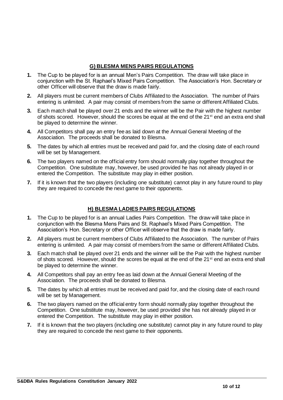## **G) BLESMA MENS PAIRS REGULATIONS**

- **1.** The Cup to be played for is an annual Men's Pairs Competition. The draw will take place in conjunction with the St. Raphael's Mixed Pairs Competition. The Association's Hon. Secretary or other Officer will observe that the draw is made fairly.
- **2.** All players must be current members of Clubs Affiliated to the Association. The number of Pairs entering is unlimited. A pair may consist of members from the same or different Affiliated Clubs.
- **3.** Each match shall be played over 21 ends and the winner will be the Pair with the highest number of shots scored. However, should the scores be equal at the end of the 21<sup>st</sup> end an extra end shall be played to determine the winner.
- **4.** All Competitors shall pay an entry fee as laid down at the Annual General Meeting of the Association. The proceeds shall be donated to Blesma.
- **5.** The dates by which all entries must be received and paid for, and the closing date of each round will be set by Management.
- **6.** The two players named on the official entry form should normally play together throughout the Competition. One substitute may, however, be used provided he has not already played in or entered the Competition. The substitute may play in either position.
- **7.** If it is known that the two players (including one substitute) cannot play in any future round to play they are required to concede the next game to their opponents.

## **H) BLESMA LADIES PAIRS REGULATIONS**

- **1.** The Cup to be played for is an annual Ladies Pairs Competition. The draw will take place in conjunction with the Blesma Mens Pairs and St. Raphael's Mixed Pairs Competition. The Association's Hon. Secretary or other Officer will observe that the draw is made fairly.
- **2.** All players must be current members of Clubs Affiliated to the Association. The number of Pairs entering is unlimited. A pair may consist of members from the same or different Affiliated Clubs.
- **3.** Each match shall be played over 21 ends and the winner will be the Pair with the highest number of shots scored. However, should the scores be equal at the end of the 21<sup>st</sup> end an extra end shall be played to determine the winner.
- **4.** All Competitors shall pay an entry fee as laid down at the Annual General Meeting of the Association. The proceeds shall be donated to Blesma.
- **5.** The dates by which all entries must be received and paid for, and the closing date of each round will be set by Management.
- **6.** The two players named on the official entry form should normally play together throughout the Competition. One substitute may, however, be used provided she has not already played in or entered the Competition. The substitute may play in either position.
- **7.** If it is known that the two players (including one substitute) cannot play in any future round to play they are required to concede the next game to their opponents.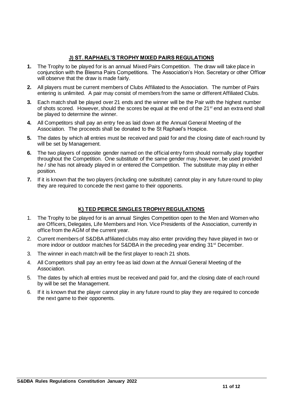## **J) ST. RAPHAEL'S TROPHY MIXED PAIRS REGULATIONS**

- **1.** The Trophy to be played for is an annual Mixed Pairs Competition. The draw will take place in conjunction with the Blesma Pairs Competitions. The Association's Hon. Secretary or other Officer will observe that the draw is made fairly.
- **2.** All players must be current members of Clubs Affiliated to the Association. The number of Pairs entering is unlimited. A pair may consist of members from the same or different Affiliated Clubs.
- **3.** Each match shall be played over 21 ends and the winner will be the Pair with the highest number of shots scored. However, should the scores be equal at the end of the 21<sup>st</sup> end an extra end shall be played to determine the winner.
- **4.** All Competitors shall pay an entry fee as laid down at the Annual General Meeting of the Association. The proceeds shall be donated to the St Raphael's Hospice.
- **5.** The dates by which all entries must be received and paid for and the closing date of each round by will be set by Management.
- **6.** The two players of opposite gender named on the official entry form should normally play together throughout the Competition. One substitute of the same gender may, however, be used provided he / she has not already played in or entered the Competition. The substitute may play in either position.
- **7.** If it is known that the two players (including one substitute) cannot play in any future round to play they are required to concede the next game to their opponents.

## **K) TED PEIRCE SINGLES TROPHY REGULATIONS**

- 1. The Trophy to be played for is an annual Singles Competition open to the Men and Women who are Officers, Delegates, Life Members and Hon. Vice Presidents of the Association, currently in office from the AGM of the current year.
- 2. Current members of S&DBA affiliated clubs may also enter providing they have played in two or more indoor or outdoor matches for S&DBA in the preceding year ending 31<sup>st</sup> December.
- 3. The winner in each match will be the first player to reach 21 shots.
- 4. All Competitors shall pay an entry fee as laid down at the Annual General Meeting of the Association.
- 5. The dates by which all entries must be received and paid for, and the closing date of each round by will be set the Management.
- 6. If it is known that the player cannot play in any future round to play they are required to concede the next game to their opponents.